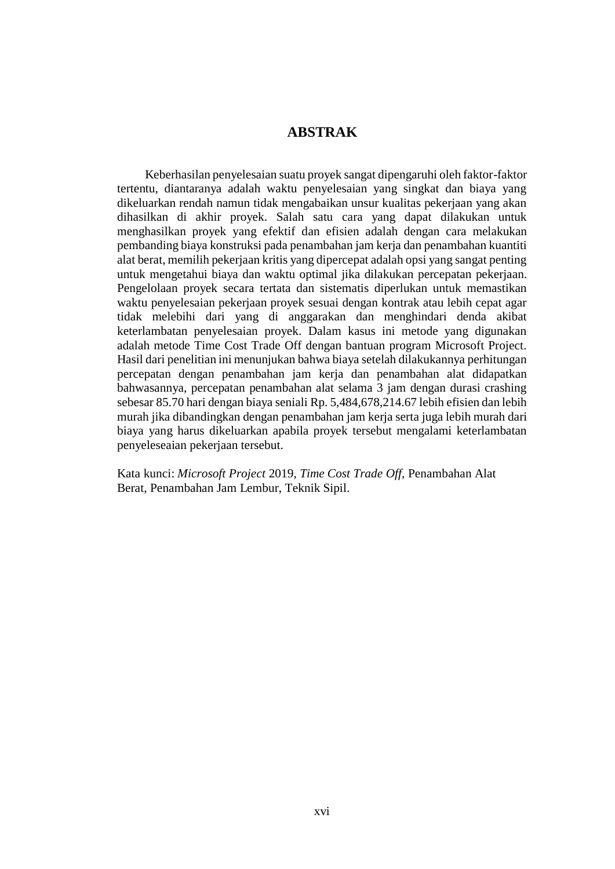## **ABSTRAK**

Keberhasilan penyelesaian suatu proyek sangat dipengaruhi oleh faktor-faktor tertentu, diantaranya adalah waktu penyelesaian yang singkat dan biaya yang dikeluarkan rendah namun tidak mengabaikan unsur kualitas pekerjaan yang akan dihasilkan di akhir proyek. Salah satu cara yang dapat dilakukan untuk menghasilkan proyek yang efektif dan efisien adalah dengan cara melakukan pembanding biaya konstruksi pada penambahan jam kerja dan penambahan kuantiti alat berat, memilih pekerjaan kritis yang dipercepat adalah opsi yang sangat penting untuk mengetahui biaya dan waktu optimal jika dilakukan percepatan pekerjaan. Pengelolaan proyek secara tertata dan sistematis diperlukan untuk memastikan waktu penyelesaian pekerjaan proyek sesuai dengan kontrak atau lebih cepat agar tidak melebihi dari yang di anggarakan dan menghindari denda akibat keterlambatan penyelesaian proyek. Dalam kasus ini metode yang digunakan adalah metode Time Cost Trade Off dengan bantuan program Microsoft Project. Hasil dari penelitian ini menunjukan bahwa biaya setelah dilakukannya perhitungan percepatan dengan penambahan jam kerja dan penambahan alat didapatkan bahwasannya, percepatan penambahan alat selama 3 jam dengan durasi crashing sebesar 85.70 hari dengan biaya seniali Rp. 5,484,678,214.67 lebih efisien dan lebih murah jika dibandingkan dengan penambahan jam kerja serta juga lebih murah dari biaya yang harus dikeluarkan apabila proyek tersebut mengalami keterlambatan penyeleseaian pekerjaan tersebut.

Kata kunci: *Microsoft Project* 2019, *Time Cost Trade Off,* Penambahan Alat Berat, Penambahan Jam Lembur, Teknik Sipil.